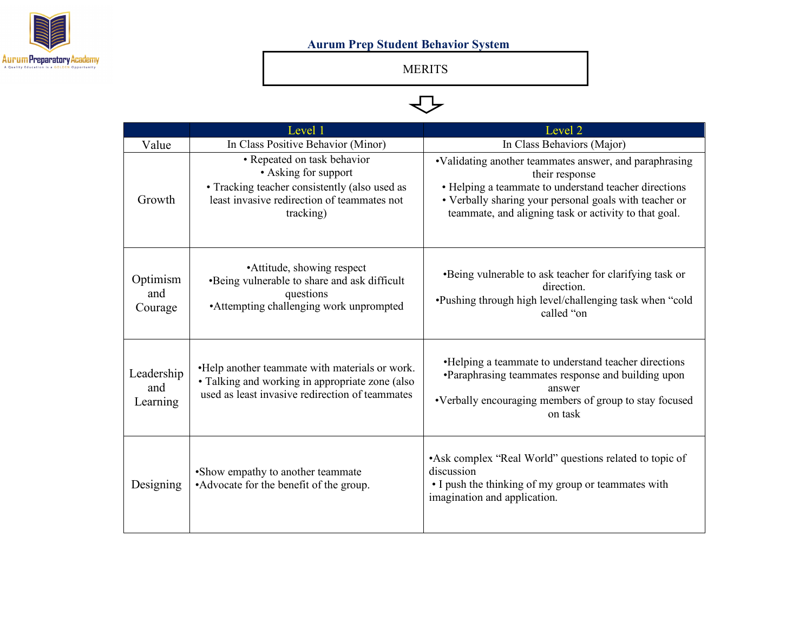

## **Aurum Prep Student Behavior System**

MERITS

## $\Leftrightarrow$

|                               | Level 1                                                                                                                                                          | Level 2                                                                                                                                                                                                                                              |
|-------------------------------|------------------------------------------------------------------------------------------------------------------------------------------------------------------|------------------------------------------------------------------------------------------------------------------------------------------------------------------------------------------------------------------------------------------------------|
| Value                         | In Class Positive Behavior (Minor)                                                                                                                               | In Class Behaviors (Major)                                                                                                                                                                                                                           |
| Growth                        | • Repeated on task behavior<br>• Asking for support<br>• Tracking teacher consistently (also used as<br>least invasive redirection of teammates not<br>tracking) | •Validating another teammates answer, and paraphrasing<br>their response<br>• Helping a teammate to understand teacher directions<br>• Verbally sharing your personal goals with teacher or<br>teammate, and aligning task or activity to that goal. |
| Optimism<br>and<br>Courage    | • Attitude, showing respect<br>•Being vulnerable to share and ask difficult<br>questions<br>• Attempting challenging work unprompted                             | •Being vulnerable to ask teacher for clarifying task or<br>direction.<br>•Pushing through high level/challenging task when "cold<br>called "on                                                                                                       |
| Leadership<br>and<br>Learning | •Help another teammate with materials or work.<br>• Talking and working in appropriate zone (also<br>used as least invasive redirection of teammates             | • Helping a teammate to understand teacher directions<br>•Paraphrasing teammates response and building upon<br>answer<br>•Verbally encouraging members of group to stay focused<br>on task                                                           |
| Designing                     | •Show empathy to another teammate<br>•Advocate for the benefit of the group.                                                                                     | •Ask complex "Real World" questions related to topic of<br>discussion<br>• I push the thinking of my group or teammates with<br>imagination and application.                                                                                         |